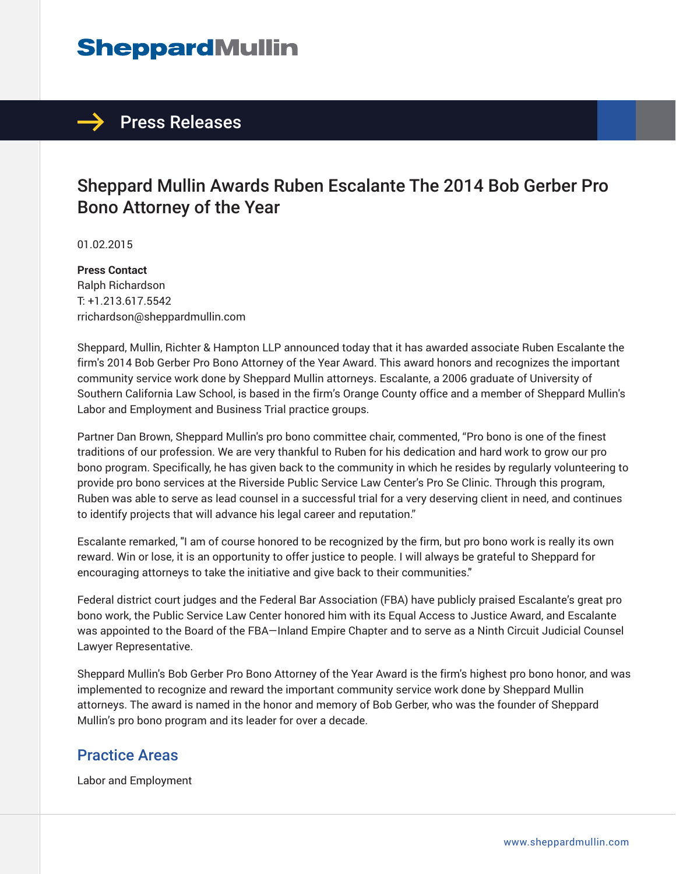## **SheppardMullin**

### $\rightarrow$  Press Releases

### Sheppard Mullin Awards Ruben Escalante The 2014 Bob Gerber Pro Bono Attorney of the Year

01.02.2015

**Press Contact** Ralph Richardson T: +1.213.617.5542 rrichardson@sheppardmullin.com

Sheppard, Mullin, Richter & Hampton LLP announced today that it has awarded associate Ruben Escalante the firm's 2014 Bob Gerber Pro Bono Attorney of the Year Award. This award honors and recognizes the important community service work done by Sheppard Mullin attorneys. Escalante, a 2006 graduate of University of Southern California Law School, is based in the firm's Orange County office and a member of Sheppard Mullin's Labor and Employment and Business Trial practice groups.

Partner Dan Brown, Sheppard Mullin's pro bono committee chair, commented, "Pro bono is one of the finest traditions of our profession. We are very thankful to Ruben for his dedication and hard work to grow our pro bono program. Specifically, he has given back to the community in which he resides by regularly volunteering to provide pro bono services at the Riverside Public Service Law Center's Pro Se Clinic. Through this program, Ruben was able to serve as lead counsel in a successful trial for a very deserving client in need, and continues to identify projects that will advance his legal career and reputation."

Escalante remarked, "I am of course honored to be recognized by the firm, but pro bono work is really its own reward. Win or lose, it is an opportunity to offer justice to people. I will always be grateful to Sheppard for encouraging attorneys to take the initiative and give back to their communities."

Federal district court judges and the Federal Bar Association (FBA) have publicly praised Escalante's great pro bono work, the Public Service Law Center honored him with its Equal Access to Justice Award, and Escalante was appointed to the Board of the FBA—Inland Empire Chapter and to serve as a Ninth Circuit Judicial Counsel Lawyer Representative.

Sheppard Mullin's Bob Gerber Pro Bono Attorney of the Year Award is the firm's highest pro bono honor, and was implemented to recognize and reward the important community service work done by Sheppard Mullin attorneys. The award is named in the honor and memory of Bob Gerber, who was the founder of Sheppard Mullin's pro bono program and its leader for over a decade.

#### Practice Areas

Labor and Employment